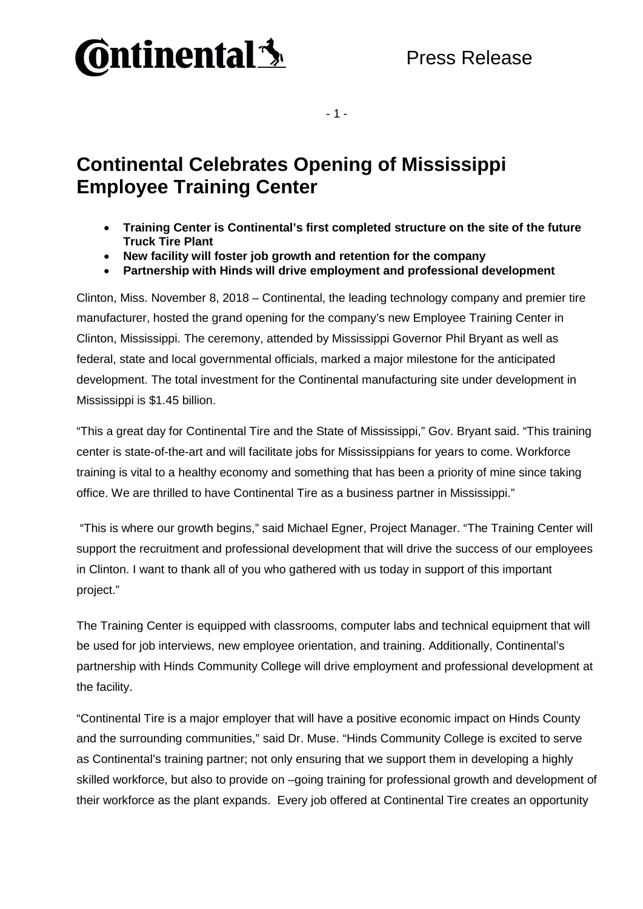## **Ontinental 3**

- 1 -

## **Continental Celebrates Opening of Mississippi Employee Training Center**

- **Training Center is Continental's first completed structure on the site of the future Truck Tire Plant**
- **New facility will foster job growth and retention for the company**
- **Partnership with Hinds will drive employment and professional development**

Clinton, Miss. November 8, 2018 – Continental, the leading technology company and premier tire manufacturer, hosted the grand opening for the company's new Employee Training Center in Clinton, Mississippi. The ceremony, attended by Mississippi Governor Phil Bryant as well as federal, state and local governmental officials, marked a major milestone for the anticipated development. The total investment for the Continental manufacturing site under development in Mississippi is \$1.45 billion.

"This a great day for Continental Tire and the State of Mississippi," Gov. Bryant said. "This training center is state-of-the-art and will facilitate jobs for Mississippians for years to come. Workforce training is vital to a healthy economy and something that has been a priority of mine since taking office. We are thrilled to have Continental Tire as a business partner in Mississippi."

"This is where our growth begins," said Michael Egner, Project Manager. "The Training Center will support the recruitment and professional development that will drive the success of our employees in Clinton. I want to thank all of you who gathered with us today in support of this important project."

The Training Center is equipped with classrooms, computer labs and technical equipment that will be used for job interviews, new employee orientation, and training. Additionally, Continental's partnership with Hinds Community College will drive employment and professional development at the facility.

"Continental Tire is a major employer that will have a positive economic impact on Hinds County and the surrounding communities," said Dr. Muse. "Hinds Community College is excited to serve as Continental's training partner; not only ensuring that we support them in developing a highly skilled workforce, but also to provide on –going training for professional growth and development of their workforce as the plant expands. Every job offered at Continental Tire creates an opportunity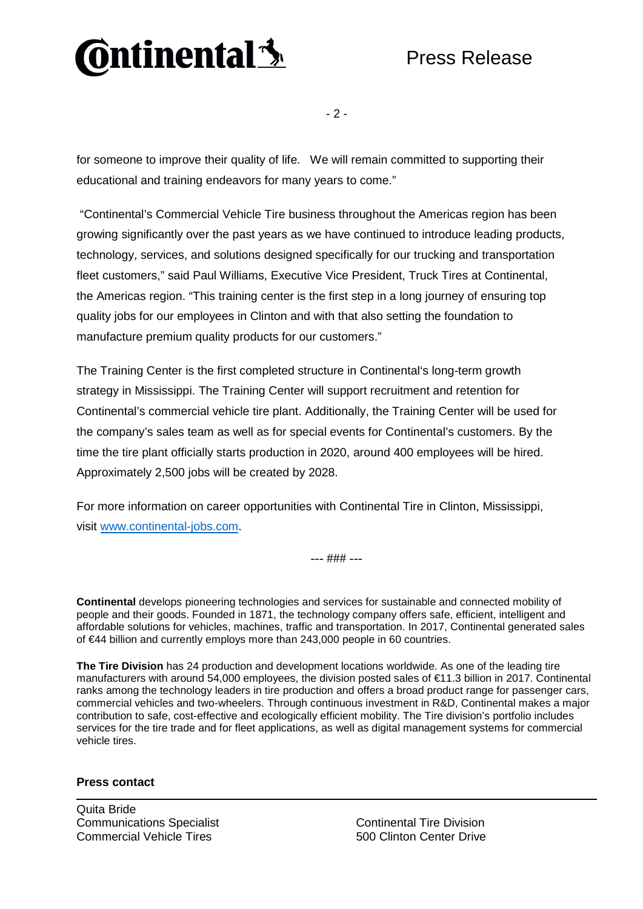

 $-2 -$ 

for someone to improve their quality of life. We will remain committed to supporting their educational and training endeavors for many years to come."

"Continental's Commercial Vehicle Tire business throughout the Americas region has been growing significantly over the past years as we have continued to introduce leading products, technology, services, and solutions designed specifically for our trucking and transportation fleet customers," said Paul Williams, Executive Vice President, Truck Tires at Continental, the Americas region. "This training center is the first step in a long journey of ensuring top quality jobs for our employees in Clinton and with that also setting the foundation to manufacture premium quality products for our customers."

The Training Center is the first completed structure in Continental's long-term growth strategy in Mississippi. The Training Center will support recruitment and retention for Continental's commercial vehicle tire plant. Additionally, the Training Center will be used for the company's sales team as well as for special events for Continental's customers. By the time the tire plant officially starts production in 2020, around 400 employees will be hired. Approximately 2,500 jobs will be created by 2028.

For more information on career opportunities with Continental Tire in Clinton, Mississippi, visit [www.continental-jobs.com.](http://www.continental-jobs.com/)

--- ### ---

**Continental** develops pioneering technologies and services for sustainable and connected mobility of people and their goods. Founded in 1871, the technology company offers safe, efficient, intelligent and affordable solutions for vehicles, machines, traffic and transportation. In 2017, Continental generated sales of €44 billion and currently employs more than 243,000 people in 60 countries.

**The Tire Division** has 24 production and development locations worldwide. As one of the leading tire manufacturers with around 54,000 employees, the division posted sales of €11.3 billion in 2017. Continental ranks among the technology leaders in tire production and offers a broad product range for passenger cars, commercial vehicles and two-wheelers. Through continuous investment in R&D, Continental makes a major contribution to safe, cost-effective and ecologically efficient mobility. The Tire division's portfolio includes services for the tire trade and for fleet applications, as well as digital management systems for commercial vehicle tires.

**Press contact** 

Quita Bride Communications Specialist Commercial Vehicle Tires

Continental Tire Division 500 Clinton Center Drive